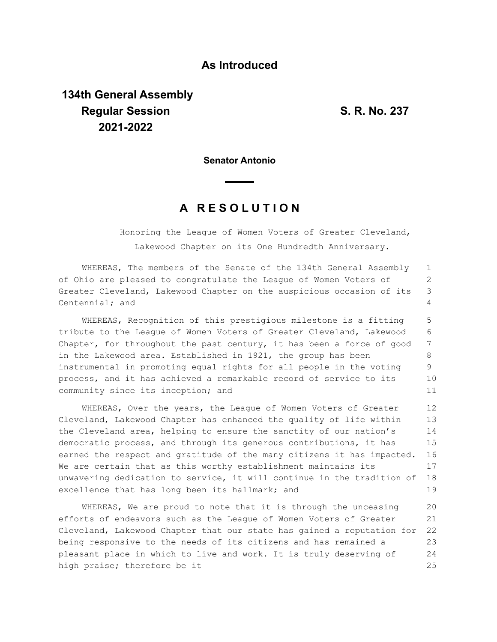## **As Introduced**

## **134th General Assembly Regular Session S. R. No. 237 2021-2022**

**Senator Antonio**

## **A R E S O L U T I O N**

Honoring the League of Women Voters of Greater Cleveland, Lakewood Chapter on its One Hundredth Anniversary.

WHEREAS, The members of the Senate of the 134th General Assembly of Ohio are pleased to congratulate the League of Women Voters of Greater Cleveland, Lakewood Chapter on the auspicious occasion of its Centennial; and 1 2 3  $\Delta$ 

WHEREAS, Recognition of this prestigious milestone is a fitting tribute to the League of Women Voters of Greater Cleveland, Lakewood Chapter, for throughout the past century, it has been a force of good in the Lakewood area. Established in 1921, the group has been instrumental in promoting equal rights for all people in the voting process, and it has achieved a remarkable record of service to its community since its inception; and 5 6 7 8 9 10 11

WHEREAS, Over the years, the League of Women Voters of Greater Cleveland, Lakewood Chapter has enhanced the quality of life within the Cleveland area, helping to ensure the sanctity of our nation's democratic process, and through its generous contributions, it has earned the respect and gratitude of the many citizens it has impacted. We are certain that as this worthy establishment maintains its unwavering dedication to service, it will continue in the tradition of excellence that has long been its hallmark; and 12 13 14 15 16 17 18 19

WHEREAS, We are proud to note that it is through the unceasing efforts of endeavors such as the League of Women Voters of Greater Cleveland, Lakewood Chapter that our state has gained a reputation for being responsive to the needs of its citizens and has remained a pleasant place in which to live and work. It is truly deserving of high praise; therefore be it 20 21 22 23 24 25